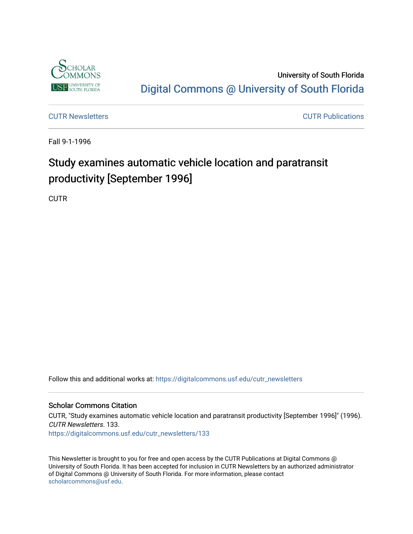

University of South Florida [Digital Commons @ University of South Florida](https://digitalcommons.usf.edu/) 

[CUTR Newsletters](https://digitalcommons.usf.edu/cutr_newsletters) [CUTR Publications](https://digitalcommons.usf.edu/cutr_pubs) 

Fall 9-1-1996

# Study examines automatic vehicle location and paratransit productivity [September 1996]

**CUTR** 

Follow this and additional works at: [https://digitalcommons.usf.edu/cutr\\_newsletters](https://digitalcommons.usf.edu/cutr_newsletters?utm_source=digitalcommons.usf.edu%2Fcutr_newsletters%2F133&utm_medium=PDF&utm_campaign=PDFCoverPages) 

#### Scholar Commons Citation

CUTR, "Study examines automatic vehicle location and paratransit productivity [September 1996]" (1996). CUTR Newsletters. 133. [https://digitalcommons.usf.edu/cutr\\_newsletters/133](https://digitalcommons.usf.edu/cutr_newsletters/133?utm_source=digitalcommons.usf.edu%2Fcutr_newsletters%2F133&utm_medium=PDF&utm_campaign=PDFCoverPages) 

This Newsletter is brought to you for free and open access by the CUTR Publications at Digital Commons @ University of South Florida. It has been accepted for inclusion in CUTR Newsletters by an authorized administrator of Digital Commons @ University of South Florida. For more information, please contact [scholarcommons@usf.edu.](mailto:scholarcommons@usf.edu)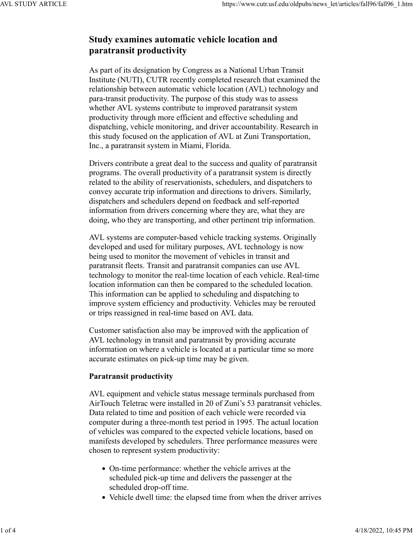# **Study examines automatic vehicle location and paratransit productivity**

As part of its designation by Congress as a National Urban Transit Institute (NUTI), CUTR recently completed research that examined the relationship between automatic vehicle location (AVL) technology and para-transit productivity. The purpose of this study was to assess whether AVL systems contribute to improved paratransit system productivity through more efficient and effective scheduling and dispatching, vehicle monitoring, and driver accountability. Research in this study focused on the application of AVL at Zuni Transportation, Inc., a paratransit system in Miami, Florida.

Drivers contribute a great deal to the success and quality of paratransit programs. The overall productivity of a paratransit system is directly related to the ability of reservationists, schedulers, and dispatchers to convey accurate trip information and directions to drivers. Similarly, dispatchers and schedulers depend on feedback and self-reported information from drivers concerning where they are, what they are doing, who they are transporting, and other pertinent trip information.

AVL systems are computer-based vehicle tracking systems. Originally developed and used for military purposes, AVL technology is now being used to monitor the movement of vehicles in transit and paratransit fleets. Transit and paratransit companies can use AVL technology to monitor the real-time location of each vehicle. Real-time location information can then be compared to the scheduled location. This information can be applied to scheduling and dispatching to improve system efficiency and productivity. Vehicles may be rerouted or trips reassigned in real-time based on AVL data.

Customer satisfaction also may be improved with the application of AVL technology in transit and paratransit by providing accurate information on where a vehicle is located at a particular time so more accurate estimates on pick-up time may be given.

# **Paratransit productivity**

AVL equipment and vehicle status message terminals purchased from AirTouch Teletrac were installed in 20 of Zuni's 53 paratransit vehicles. Data related to time and position of each vehicle were recorded via computer during a three-month test period in 1995. The actual location of vehicles was compared to the expected vehicle locations, based on manifests developed by schedulers. Three performance measures were chosen to represent system productivity:

- On-time performance: whether the vehicle arrives at the scheduled pick-up time and delivers the passenger at the scheduled drop-off time.
- Vehicle dwell time: the elapsed time from when the driver arrives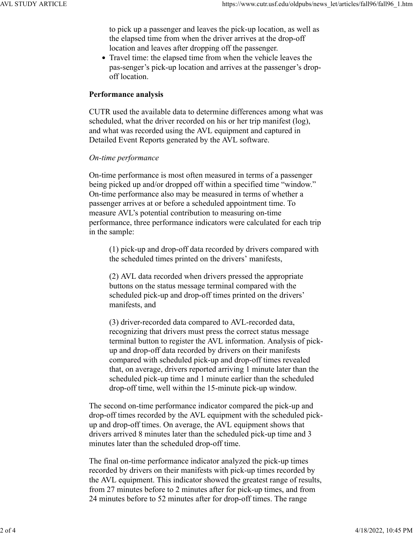to pick up a passenger and leaves the pick-up location, as well as the elapsed time from when the driver arrives at the drop-off location and leaves after dropping off the passenger.

• Travel time: the elapsed time from when the vehicle leaves the pas-senger's pick-up location and arrives at the passenger's dropoff location.

# **Performance analysis**

CUTR used the available data to determine differences among what was scheduled, what the driver recorded on his or her trip manifest (log), and what was recorded using the AVL equipment and captured in Detailed Event Reports generated by the AVL software.

# *On-time performance*

On-time performance is most often measured in terms of a passenger being picked up and/or dropped off within a specified time "window." On-time performance also may be measured in terms of whether a passenger arrives at or before a scheduled appointment time. To measure AVL's potential contribution to measuring on-time performance, three performance indicators were calculated for each trip in the sample:

(1) pick-up and drop-off data recorded by drivers compared with the scheduled times printed on the drivers' manifests,

(2) AVL data recorded when drivers pressed the appropriate buttons on the status message terminal compared with the scheduled pick-up and drop-off times printed on the drivers' manifests, and

(3) driver-recorded data compared to AVL-recorded data, recognizing that drivers must press the correct status message terminal button to register the AVL information. Analysis of pickup and drop-off data recorded by drivers on their manifests compared with scheduled pick-up and drop-off times revealed that, on average, drivers reported arriving 1 minute later than the scheduled pick-up time and 1 minute earlier than the scheduled drop-off time, well within the 15-minute pick-up window.

The second on-time performance indicator compared the pick-up and drop-off times recorded by the AVL equipment with the scheduled pickup and drop-off times. On average, the AVL equipment shows that drivers arrived 8 minutes later than the scheduled pick-up time and 3 minutes later than the scheduled drop-off time.

The final on-time performance indicator analyzed the pick-up times recorded by drivers on their manifests with pick-up times recorded by the AVL equipment. This indicator showed the greatest range of results, from 27 minutes before to 2 minutes after for pick-up times, and from 24 minutes before to 52 minutes after for drop-off times. The range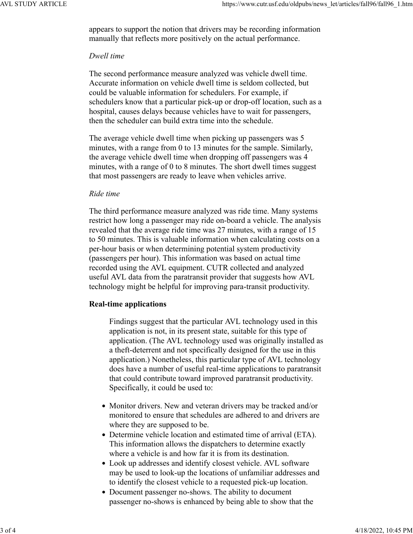appears to support the notion that drivers may be recording information manually that reflects more positively on the actual performance.

#### *Dwell time*

The second performance measure analyzed was vehicle dwell time. Accurate information on vehicle dwell time is seldom collected, but could be valuable information for schedulers. For example, if schedulers know that a particular pick-up or drop-off location, such as a hospital, causes delays because vehicles have to wait for passengers, then the scheduler can build extra time into the schedule.

The average vehicle dwell time when picking up passengers was 5 minutes, with a range from 0 to 13 minutes for the sample. Similarly, the average vehicle dwell time when dropping off passengers was 4 minutes, with a range of 0 to 8 minutes. The short dwell times suggest that most passengers are ready to leave when vehicles arrive.

#### *Ride time*

The third performance measure analyzed was ride time. Many systems restrict how long a passenger may ride on-board a vehicle. The analysis revealed that the average ride time was 27 minutes, with a range of 15 to 50 minutes. This is valuable information when calculating costs on a per-hour basis or when determining potential system productivity (passengers per hour). This information was based on actual time recorded using the AVL equipment. CUTR collected and analyzed useful AVL data from the paratransit provider that suggests how AVL technology might be helpful for improving para-transit productivity.

### **Real-time applications**

Findings suggest that the particular AVL technology used in this application is not, in its present state, suitable for this type of application. (The AVL technology used was originally installed as a theft-deterrent and not specifically designed for the use in this application.) Nonetheless, this particular type of AVL technology does have a number of useful real-time applications to paratransit that could contribute toward improved paratransit productivity. Specifically, it could be used to:

- Monitor drivers. New and veteran drivers may be tracked and/or monitored to ensure that schedules are adhered to and drivers are where they are supposed to be.
- Determine vehicle location and estimated time of arrival (ETA). This information allows the dispatchers to determine exactly where a vehicle is and how far it is from its destination.
- Look up addresses and identify closest vehicle. AVL software may be used to look-up the locations of unfamiliar addresses and to identify the closest vehicle to a requested pick-up location.
- Document passenger no-shows. The ability to document passenger no-shows is enhanced by being able to show that the